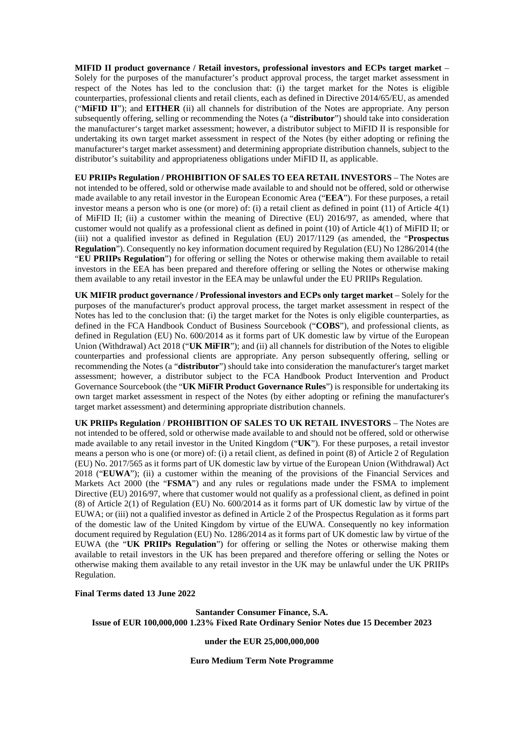**MIFID II product governance / Retail investors, professional investors and ECPs target market** – Solely for the purposes of the manufacturer's product approval process, the target market assessment in respect of the Notes has led to the conclusion that: (i) the target market for the Notes is eligible counterparties, professional clients and retail clients, each as defined in Directive 2014/65/EU, as amended ("**MiFID II**"); and **EITHER** (ii) all channels for distribution of the Notes are appropriate. Any person subsequently offering, selling or recommending the Notes (a "**distributor**") should take into consideration the manufacturer's target market assessment; however, a distributor subject to MiFID II is responsible for undertaking its own target market assessment in respect of the Notes (by either adopting or refining the manufacturer's target market assessment) and determining appropriate distribution channels, subject to the distributor's suitability and appropriateness obligations under MiFID II, as applicable.

**EU PRIIPs Regulation / PROHIBITION OF SALES TO EEA RETAIL INVESTORS** – The Notes are not intended to be offered, sold or otherwise made available to and should not be offered, sold or otherwise made available to any retail investor in the European Economic Area ("**EEA**"). For these purposes, a retail investor means a person who is one (or more) of: (i) a retail client as defined in point (11) of Article 4(1) of MiFID II; (ii) a customer within the meaning of Directive (EU) 2016/97, as amended, where that customer would not qualify as a professional client as defined in point (10) of Article 4(1) of MiFID II; or (iii) not a qualified investor as defined in Regulation (EU) 2017/1129 (as amended, the "**Prospectus Regulation**"). Consequently no key information document required by Regulation (EU) No 1286/2014 (the "**EU PRIIPs Regulation**") for offering or selling the Notes or otherwise making them available to retail investors in the EEA has been prepared and therefore offering or selling the Notes or otherwise making them available to any retail investor in the EEA may be unlawful under the EU PRIIPs Regulation.

**UK MIFIR product governance / Professional investors and ECPs only target market** – Solely for the purposes of the manufacturer's product approval process, the target market assessment in respect of the Notes has led to the conclusion that: (i) the target market for the Notes is only eligible counterparties, as defined in the FCA Handbook Conduct of Business Sourcebook ("**COBS**"), and professional clients, as defined in Regulation (EU) No. 600/2014 as it forms part of UK domestic law by virtue of the European Union (Withdrawal) Act 2018 ("**UK MiFIR**"); and (ii) all channels for distribution of the Notes to eligible counterparties and professional clients are appropriate. Any person subsequently offering, selling or recommending the Notes (a "**distributor**") should take into consideration the manufacturer's target market assessment; however, a distributor subject to the FCA Handbook Product Intervention and Product Governance Sourcebook (the "**UK MiFIR Product Governance Rules**") is responsible for undertaking its own target market assessment in respect of the Notes (by either adopting or refining the manufacturer's target market assessment) and determining appropriate distribution channels.

**UK PRIIPs Regulation** / **PROHIBITION OF SALES TO UK RETAIL INVESTORS** – The Notes are not intended to be offered, sold or otherwise made available to and should not be offered, sold or otherwise made available to any retail investor in the United Kingdom ("**UK**"). For these purposes, a retail investor means a person who is one (or more) of: (i) a retail client, as defined in point (8) of Article 2 of Regulation (EU) No. 2017/565 as it forms part of UK domestic law by virtue of the European Union (Withdrawal) Act 2018 ("**EUWA**"); (ii) a customer within the meaning of the provisions of the Financial Services and Markets Act 2000 (the "**FSMA**") and any rules or regulations made under the FSMA to implement Directive (EU) 2016/97, where that customer would not qualify as a professional client, as defined in point (8) of Article 2(1) of Regulation (EU) No. 600/2014 as it forms part of UK domestic law by virtue of the EUWA; or (iii) not a qualified investor as defined in Article 2 of the Prospectus Regulation as it forms part of the domestic law of the United Kingdom by virtue of the EUWA. Consequently no key information document required by Regulation (EU) No. 1286/2014 as it forms part of UK domestic law by virtue of the EUWA (the "**UK PRIIPs Regulation**") for offering or selling the Notes or otherwise making them available to retail investors in the UK has been prepared and therefore offering or selling the Notes or otherwise making them available to any retail investor in the UK may be unlawful under the UK PRIIPs Regulation.

#### **Final Terms dated 13 June 2022**

**Santander Consumer Finance, S.A. Issue of EUR 100,000,000 1.23% Fixed Rate Ordinary Senior Notes due 15 December 2023**

**under the EUR 25,000,000,000**

**Euro Medium Term Note Programme**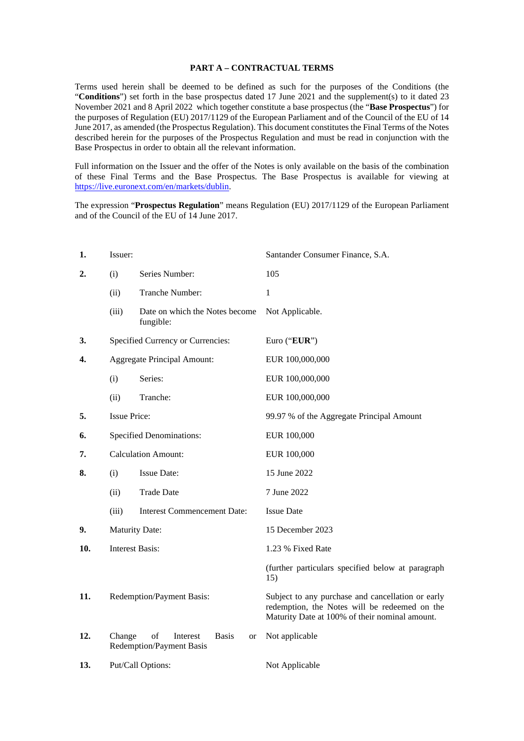### **PART A – CONTRACTUAL TERMS**

Terms used herein shall be deemed to be defined as such for the purposes of the Conditions (the "**Conditions**") set forth in the base prospectus dated 17 June 2021 and the supplement(s) to it dated 23 November 2021 and 8 April 2022 which together constitute a base prospectus (the "**Base Prospectus**") for the purposes of Regulation (EU) 2017/1129 of the European Parliament and of the Council of the EU of 14 June 2017, as amended (the Prospectus Regulation). This document constitutes the Final Terms of the Notes described herein for the purposes of the Prospectus Regulation and must be read in conjunction with the Base Prospectus in order to obtain all the relevant information.

Full information on the Issuer and the offer of the Notes is only available on the basis of the combination of these Final Terms and the Base Prospectus. The Base Prospectus is available for viewing at https://live.euronext.com/en/markets/dublin.

The expression "**Prospectus Regulation**" means Regulation (EU) 2017/1129 of the European Parliament and of the Council of the EU of 14 June 2017.

| 1.  | Issuer:                         |                                                                  | Santander Consumer Finance, S.A.                                                                                                                     |
|-----|---------------------------------|------------------------------------------------------------------|------------------------------------------------------------------------------------------------------------------------------------------------------|
| 2.  | (i)                             | Series Number:                                                   | 105                                                                                                                                                  |
|     | (ii)                            | Tranche Number:                                                  | $\mathbf{1}$                                                                                                                                         |
|     | (iii)                           | Date on which the Notes become<br>fungible:                      | Not Applicable.                                                                                                                                      |
| 3.  |                                 | Specified Currency or Currencies:                                | Euro ("EUR")                                                                                                                                         |
| 4.  |                                 | <b>Aggregate Principal Amount:</b>                               | EUR 100,000,000                                                                                                                                      |
|     | (i)                             | Series:                                                          | EUR 100,000,000                                                                                                                                      |
|     | (ii)                            | Tranche:                                                         | EUR 100,000,000                                                                                                                                      |
| 5.  | <b>Issue Price:</b>             |                                                                  | 99.97 % of the Aggregate Principal Amount                                                                                                            |
| 6.  | <b>Specified Denominations:</b> |                                                                  | EUR 100,000                                                                                                                                          |
| 7.  | <b>Calculation Amount:</b>      |                                                                  | EUR 100,000                                                                                                                                          |
| 8.  | (i)                             | <b>Issue Date:</b>                                               | 15 June 2022                                                                                                                                         |
|     | (ii)                            | <b>Trade Date</b>                                                | 7 June 2022                                                                                                                                          |
|     | (iii)                           | <b>Interest Commencement Date:</b>                               | <b>Issue Date</b>                                                                                                                                    |
| 9.  | <b>Maturity Date:</b>           |                                                                  | 15 December 2023                                                                                                                                     |
| 10. | <b>Interest Basis:</b>          |                                                                  | 1.23 % Fixed Rate                                                                                                                                    |
|     |                                 |                                                                  | (further particulars specified below at paragraph<br>15)                                                                                             |
| 11. | Redemption/Payment Basis:       |                                                                  | Subject to any purchase and cancellation or early<br>redemption, the Notes will be redeemed on the<br>Maturity Date at 100% of their nominal amount. |
| 12. | Change                          | of<br><b>Basis</b><br>Interest<br>or<br>Redemption/Payment Basis | Not applicable                                                                                                                                       |
| 13. |                                 | Put/Call Options:                                                | Not Applicable                                                                                                                                       |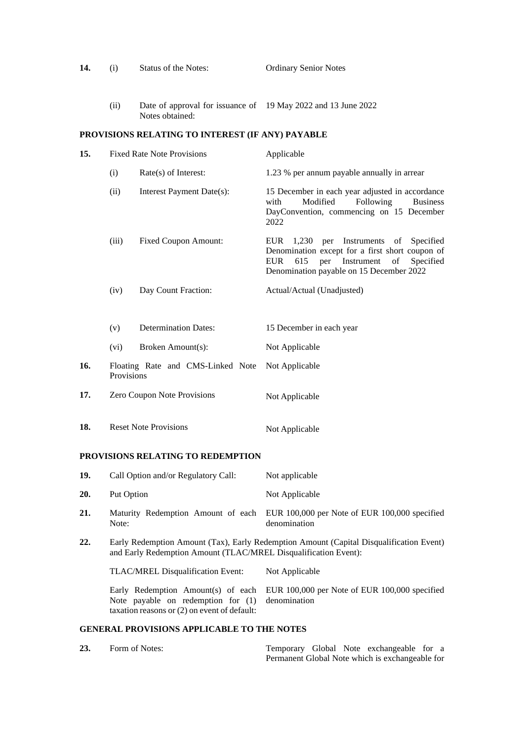| 14. | (i)                                             | Status of the Notes:                                                             | <b>Ordinary Senior Notes</b>                                                                                                                                                                                             |
|-----|-------------------------------------------------|----------------------------------------------------------------------------------|--------------------------------------------------------------------------------------------------------------------------------------------------------------------------------------------------------------------------|
|     | (ii)                                            | Date of approval for issuance of 19 May 2022 and 13 June 2022<br>Notes obtained: |                                                                                                                                                                                                                          |
|     |                                                 | PROVISIONS RELATING TO INTEREST (IF ANY) PAYABLE                                 |                                                                                                                                                                                                                          |
| 15. | <b>Fixed Rate Note Provisions</b>               |                                                                                  | Applicable                                                                                                                                                                                                               |
|     | (i)                                             | Rate(s) of Interest:                                                             | 1.23 % per annum payable annually in arrear                                                                                                                                                                              |
|     | (ii)                                            | Interest Payment Date(s):                                                        | 15 December in each year adjusted in accordance<br>with<br>Modified<br>Following<br><b>Business</b><br>DayConvention, commencing on 15 December<br>2022                                                                  |
|     | (iii)                                           | <b>Fixed Coupon Amount:</b>                                                      | <b>EUR</b><br>Instruments<br>1,230<br>per<br>of<br>Specified<br>Denomination except for a first short coupon of<br><b>EUR</b><br>Instrument<br>615<br>per<br>Specified<br>of<br>Denomination payable on 15 December 2022 |
|     | (iv)                                            | Day Count Fraction:                                                              | Actual/Actual (Unadjusted)                                                                                                                                                                                               |
|     |                                                 |                                                                                  |                                                                                                                                                                                                                          |
|     | (v)                                             | <b>Determination Dates:</b>                                                      | 15 December in each year                                                                                                                                                                                                 |
|     | (vi)                                            | Broken Amount(s):                                                                | Not Applicable                                                                                                                                                                                                           |
| 16. | Floating Rate and CMS-Linked Note<br>Provisions |                                                                                  | Not Applicable                                                                                                                                                                                                           |
| 17. | Zero Coupon Note Provisions                     |                                                                                  | Not Applicable                                                                                                                                                                                                           |
| 18. | <b>Reset Note Provisions</b>                    |                                                                                  | Not Applicable                                                                                                                                                                                                           |

# **PROVISIONS RELATING TO REDEMPTION**

| 19.                                               | Call Option and/or Regulatory Call:                                                                                                                        | Not applicable                                                |  |
|---------------------------------------------------|------------------------------------------------------------------------------------------------------------------------------------------------------------|---------------------------------------------------------------|--|
| <b>20.</b>                                        | Put Option                                                                                                                                                 | Not Applicable                                                |  |
| 21.                                               | Maturity Redemption Amount of each<br>Note:                                                                                                                | EUR 100,000 per Note of EUR 100,000 specified<br>denomination |  |
| 22.                                               | Early Redemption Amount (Tax), Early Redemption Amount (Capital Disqualification Event)<br>and Early Redemption Amount (TLAC/MREL Disqualification Event): |                                                               |  |
|                                                   | <b>TLAC/MREL Disqualification Event:</b>                                                                                                                   | Not Applicable                                                |  |
|                                                   | Early Redemption Amount(s) of each<br>Note payable on redemption for $(1)$<br>taxation reasons or (2) on event of default:                                 | EUR 100,000 per Note of EUR 100,000 specified<br>denomination |  |
| <b>GENERAL PROVISIONS APPLICABLE TO THE NOTES</b> |                                                                                                                                                            |                                                               |  |

| 23. | Form of Notes: |  | Temporary Global Note exchangeable for a        |  |
|-----|----------------|--|-------------------------------------------------|--|
|     |                |  | Permanent Global Note which is exchangeable for |  |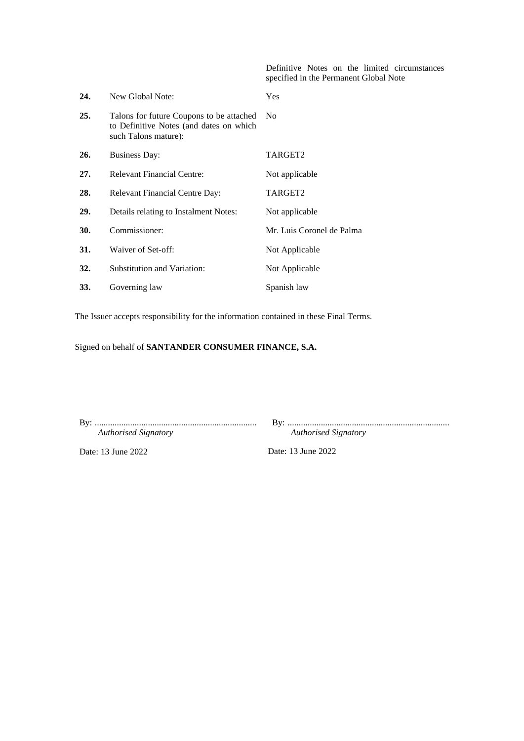Definitive Notes on the limited circumstances specified in the Permanent Global Note

| 24. | New Global Note:                                                                                            | Yes                       |
|-----|-------------------------------------------------------------------------------------------------------------|---------------------------|
| 25. | Talons for future Coupons to be attached<br>to Definitive Notes (and dates on which<br>such Talons mature): | N <sub>0</sub>            |
| 26. | <b>Business Day:</b>                                                                                        | TARGET2                   |
| 27. | <b>Relevant Financial Centre:</b>                                                                           | Not applicable            |
| 28. | <b>Relevant Financial Centre Day:</b>                                                                       | TARGET2                   |
| 29. | Details relating to Instalment Notes:                                                                       | Not applicable            |
| 30. | Commissioner:                                                                                               | Mr. Luis Coronel de Palma |
| 31. | Waiver of Set-off:                                                                                          | Not Applicable            |
| 32. | Substitution and Variation:                                                                                 | Not Applicable            |
| 33. | Governing law                                                                                               | Spanish law               |

The Issuer accepts responsibility for the information contained in these Final Terms.

Signed on behalf of **SANTANDER CONSUMER FINANCE, S.A.**

| <b>Authorised Signatory</b> |  |
|-----------------------------|--|

By: ......................................................................... *Authorised Signatory*

Date: 13 June 2022

Date: 13 June 2022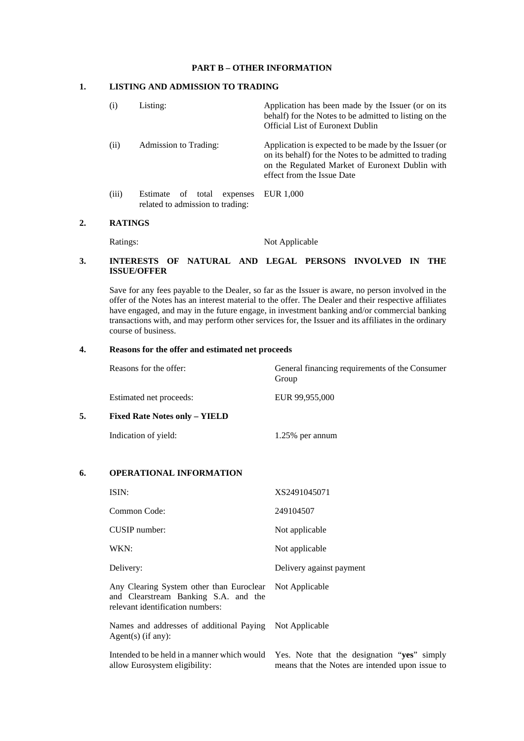### **PART B – OTHER INFORMATION**

### **1. LISTING AND ADMISSION TO TRADING**

| (1)   | Listing:                                                             | Application has been made by the Issuer (or on its<br>behalf) for the Notes to be admitted to listing on the<br><b>Official List of Euronext Dublin</b>                                         |
|-------|----------------------------------------------------------------------|-------------------------------------------------------------------------------------------------------------------------------------------------------------------------------------------------|
| (i)   | Admission to Trading:                                                | Application is expected to be made by the Issuer (or<br>on its behalf) for the Notes to be admitted to trading<br>on the Regulated Market of Euronext Dublin with<br>effect from the Issue Date |
| (iii) | Estimate<br>of total<br>expenses<br>related to admission to trading: | EUR 1.000                                                                                                                                                                                       |

## **2. RATINGS**

Ratings: Not Applicable

### **3. INTERESTS OF NATURAL AND LEGAL PERSONS INVOLVED IN THE ISSUE/OFFER**

Save for any fees payable to the Dealer, so far as the Issuer is aware, no person involved in the offer of the Notes has an interest material to the offer. The Dealer and their respective affiliates have engaged, and may in the future engage, in investment banking and/or commercial banking transactions with, and may perform other services for, the Issuer and its affiliates in the ordinary course of business.

### **4. Reasons for the offer and estimated net proceeds**

|    | Reasons for the offer:               | General financing requirements of the Consumer<br>Group |
|----|--------------------------------------|---------------------------------------------------------|
|    | Estimated net proceeds:              | EUR 99,955,000                                          |
| 5. | <b>Fixed Rate Notes only – YIELD</b> |                                                         |
|    | Indication of yield:                 | 1.25% per annum                                         |

## **6. OPERATIONAL INFORMATION**

| ISIN:                                                                                                                               | XS2491045071             |
|-------------------------------------------------------------------------------------------------------------------------------------|--------------------------|
| Common Code:                                                                                                                        | 249104507                |
| CUSIP number:                                                                                                                       | Not applicable           |
| WKN:                                                                                                                                | Not applicable           |
| Delivery:                                                                                                                           | Delivery against payment |
| Any Clearing System other than Euroclear Not Applicable<br>and Clearstream Banking S.A. and the<br>relevant identification numbers: |                          |
| $\mathbf{r}$<br>$\sim$ 11 $\sim$ 11, 1 $\sim$ 1 $\sim$ 1 $\sim$ 1 $\sim$ 1 $\sim$ 11                                                |                          |

Names and addresses of additional Paying Not Applicable Agent(s) (if any):

allow Eurosystem eligibility:

Intended to be held in a manner which would Yes. Note that the designation "**yes**" simply means that the Notes are intended upon issue to